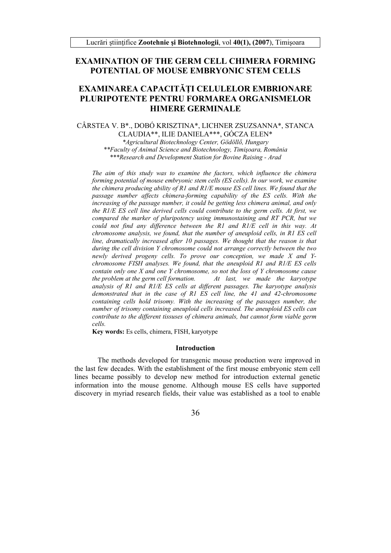## **EXAMINATION OF THE GERM CELL CHIMERA FORMING** POTENTIAL OF MOUSE EMBRYONIC STEM CELLS

# EXAMINAREA CAPACITĂȚI CELULELOR EMBRIONARE PLURIPOTENTE PENTRU FORMAREA ORGANISMELOR **HIMERE GERMINALE**

CÂRSTEA V. B\*., DOBÓ KRISZTINA\*, LICHNER ZSUZSANNA\*, STANCA CLAUDIA\*\*, ILIE DANIELA\*\*\*, GÓCZA ELEN\* \*Agricultural Biotechnology Center, Gödöllő, Hungary \*\*Faculty of Animal Science and Biotechnology, Timisoara, România \*\*\*Research and Development Station for Bovine Raising - Arad

The aim of this study was to examine the factors, which influence the chimera forming potential of mouse embryonic stem cells (ES cells). In our work, we examine the chimera producing ability of R1 and  $R1/E$  mouse ES cell lines. We found that the passage number affects chimera-forming capability of the ES cells. With the increasing of the passage number, it could be getting less chimera animal, and only the R1/E ES cell line derived cells could contribute to the germ cells. At first, we compared the marker of pluripotency using immunostaining and RT PCR, but we could not find any difference between the R1 and R1/E cell in this way. At chromosome analysis, we found, that the number of aneuploid cells, in R1 ES cell line, dramatically increased after 10 passages. We thought that the reason is that during the cell division Y chromosome could not arrange correctly between the two newly derived progeny cells. To prove our conception, we made  $X$  and  $Y$ chromosome FISH analyses. We found, that the aneuploid R1 and  $R1/E$  ES cells contain only one X and one Y chromosome, so not the loss of Y chromosome cause At last, we made the karvotype the problem at the germ cell formation. analysis of  $RI$  and  $RI/E$   $ES$  cells at different passages. The karyotype analysis demonstrated that in the case of R1 ES cell line, the 41 and 42-chromosome containing cells hold trisomy. With the increasing of the passages number, the number of trisomy containing aneuploid cells increased. The aneuploid ES cells can contribute to the different tissuses of chimera animals, but cannot form viable germ cells.

Key words: Es cells, chimera, FISH, karyotype

#### **Introduction**

The methods developed for transgenic mouse production were improved in the last few decades. With the establishment of the first mouse embryonic stem cell lines became possibly to develop new method for introduction external genetic information into the mouse genome. Although mouse ES cells have supported discovery in myriad research fields, their value was established as a tool to enable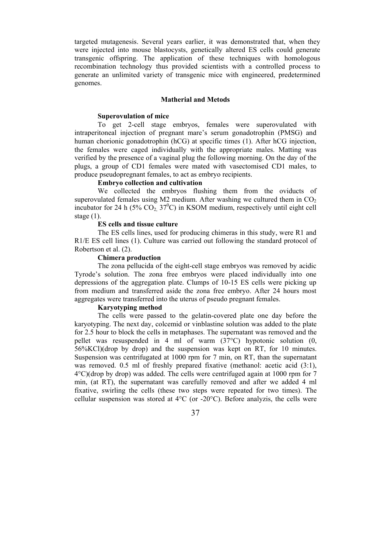targeted mutagenesis. Several years earlier, it was demonstrated that, when they were injected into mouse blastocysts, genetically altered ES cells could generate transgenic offspring. The application of these techniques with homologous recombination technology thus provided scientists with a controlled process to generate an unlimited variety of transgenic mice with engineered, predetermined genomes.

#### **Matherial and Metods**

#### **Superovulation of mice**

To get 2-cell stage embryos, females were superovulated with intraperitoneal injection of pregnant mare's serum gonadotrophin (PMSG) and human chorionic gonadotrophin (hCG) at specific times (1). After hCG injection, the females were caged individually with the appropriate males. Matting was verified by the presence of a vaginal plug the following morning. On the day of the plugs, a group of CD1 females were mated with vasectomised CD1 males, to produce pseudopregnant females, to act as embryo recipients.

### **Embryo collection and cultivation**

We collected the embryos flushing them from the oviducts of superovulated females using M2 medium. After washing we cultured them in  $CO<sub>2</sub>$ incubator for 24 h (5%  $CO<sub>2</sub>$ , 37<sup>0</sup>C) in KSOM medium, respectively until eight cell stage  $(1)$ .

#### **ES cells and tissue culture**

The ES cells lines, used for producing chimeras in this study, were R1 and R<sub>1</sub>/E ES cell lines (1). Culture was carried out following the standard protocol of Robertson et al. (2).

## **Chimera production**

The zona pellucida of the eight-cell stage embryos was removed by acidic Tyrode's solution. The zona free embryos were placed individually into one depressions of the aggregation plate. Clumps of 10-15 ES cells were picking up from medium and transferred aside the zona free embryo. After 24 hours most aggregates were transferred into the uterus of pseudo pregnant females.

### **Karyotyping method**

The cells were passed to the gelatin-covered plate one day before the karyotyping. The next day, colcemid or vinblastine solution was added to the plate for 2.5 hour to block the cells in metaphases. The supernatant was removed and the pellet was resuspended in 4 ml of warm (37°C) hypotonic solution (0, 56%KCl)(drop by drop) and the suspension was kept on RT, for 10 minutes. Suspension was centrifugated at 1000 rpm for 7 min, on RT, than the supernatant was removed. 0.5 ml of freshly prepared fixative (methanol: acetic acid (3:1), 4°C)(drop by drop) was added. The cells were centrifuged again at 1000 rpm for 7 min, (at RT), the supernatant was carefully removed and after we added 4 ml fixative, swirling the cells (these two steps were repeated for two times). The cellular suspension was stored at 4°C (or -20°C). Before analyzis, the cells were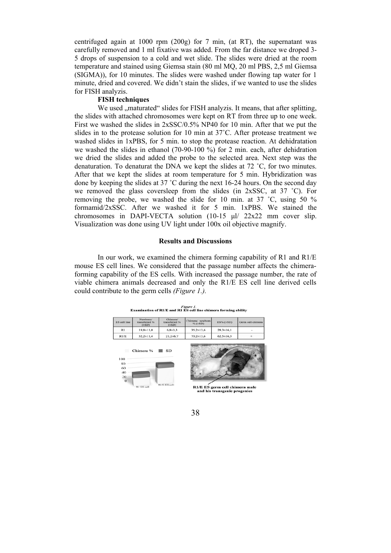centrifuged again at 1000 rpm (200g) for 7 min, (at RT), the supernatant was carefully removed and 1 ml fixative was added. From the far distance we droped 3- 5 drops of suspension to a cold and wet slide. The slides were dried at the room temperature and stained using Giemsa stain (80 ml MQ, 20 ml PBS, 2,5 ml Giemsa (SIGMA)), for 10 minutes. The slides were washed under flowing tap water for 1 minute, dried and covered. We didn't stain the slides, if we wanted to use the slides for FISH analyzis.

## **FISH techniques**

We used "maturated" slides for FISH analyzis. It means, that after splitting, the slides with attached chromosomes were kept on RT from three up to one week. First we washed the slides in 2xSSC/0.5% NP40 for 10 min. After that we put the slides in to the protease solution for 10 min at 37˚C. After protease treatment we washed slides in 1xPBS, for 5 min. to stop the protease reaction. At dehidratation we washed the slides in ethanol (70-90-100 %) for 2 min. each, after dehidration we dried the slides and added the probe to the selected area. Next step was the denaturation. To denaturat the DNA we kept the slides at 72 ˚C, for two minutes. After that we kept the slides at room temperature for 5 min. Hybridization was done by keeping the slides at 37 °C during the next 16-24 hours. On the second day we removed the glass coversleep from the slides (in 2xSSC, at 37 ˚C). For removing the probe, we washed the slide for 10 min. at 37 ˚C, using 50 % formamid/2xSSC. After we washed it for 5 min. 1xPBS. We stained the chromosomes in DAPI-VECTA solution (10-15 μl/ 22x22 mm cover slip. Visualization was done using UV light under 100x oil objective magnify.

## **Results and Discussions**

 In our work, we examined the chimera forming capability of R1 and R1/E mouse ES cell lines. We considered that the passage number affects the chimeraforming capability of the ES cells. With increased the passage number, the rate of viable chimera animals decreased and only the R1/E ES cell line derived cells could contribute to the germ cells *(Figure 1.).* 



Figure 1.<br>Examination of R1/E and R1 ES cell line chimera forming ability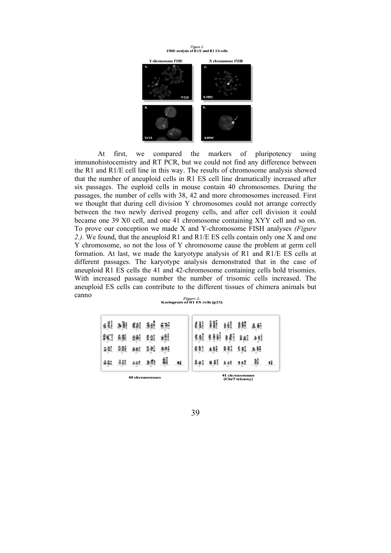

At first, we compared the markers of pluripotency using immunohistocemistry and RT PCR, but we could not find any difference between the R1 and R1/E cell line in this way. The results of chromosome analysis showed that the number of aneuploid cells in R1 ES cell line dramatically increased after six passages. The euploid cells in mouse contain 40 chromosomes. During the passages, the number of cells with 38, 42 and more chromosomes increased. First we thought that during cell division Y chromosomes could not arrange correctly between the two newly derived progeny cells, and after cell division it could became one 39 X0 cell, and one 41 chromosome containing XYY cell and so on. To prove our conception we made X and Y-chromosome FISH analyses *(Figure 2.).* We found, that the aneuploid R1 and R1/E ES cells contain only one X and one Y chromosome, so not the loss of Y chromosome cause the problem at germ cell formation. At last, we made the karyotype analysis of R1 and R1/E ES cells at different passages. The karyotype analysis demonstrated that in the case of aneuploid R1 ES cells the 41 and 42-chromosome containing cells hold trisomies. With increased passage number the number of trisomic cells increased. The aneuploid ES cells can contribute to the different tissues of chimera animals but canno<sup>1</sup>

|                                | r igure 5. |  |  |
|--------------------------------|------------|--|--|
| Kariogram of R1 ES cells (p23) |            |  |  |

| <b>40 chromosomes</b> |     |     |            |    | 41 chromosomes<br>(Chr7 trismov) |      |     |             |       |    |   |
|-----------------------|-----|-----|------------|----|----------------------------------|------|-----|-------------|-------|----|---|
| 441                   | 過離  | êêB | 16         | 鸙  | Ai                               | \$81 | 情報  | $898 - 888$ |       | 鷱  | u |
| 송출                    | 991 | aal | 38.        | 鼎明 |                                  | 0.81 | aši | 88          | 5割 出射 |    |   |
| 叙                     | 商部  | 密船  | <b>Bel</b> | ₽Ħ |                                  |      | 388 | âÎ          | BSE   | 多醇 |   |
| 鲫                     | ië. | g≜! |            | 金額 |                                  | £ àB | 鯧   | a à E       | 鯆     | 医肝 |   |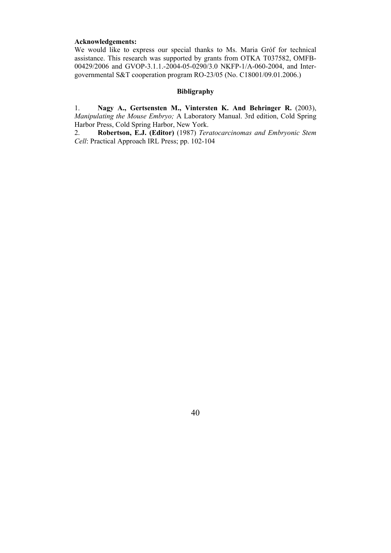## **Acknowledgements:**

We would like to express our special thanks to Ms. Maria Gróf for technical assistance. This research was supported by grants from OTKA T037582, OMFB-00429/2006 and GVOP-3.1.1.-2004-05-0290/3.0 NKFP-1/A-060-2004, and Intergovernmental S&T cooperation program RO-23/05 (No. C18001/09.01.2006.)

## **Bibligraphy**

1. **Nagy A., Gertsensten M., Vintersten K. And Behringer R.** (2003), *Manipulating the Mouse Embryo;* A Laboratory Manual. 3rd edition, Cold Spring Harbor Press, Cold Spring Harbor, New York.

2. **Robertson, E.J. (Editor)** (1987) *Teratocarcinomas and Embryonic Stem Cell*: Practical Approach IRL Press; pp. 102-104